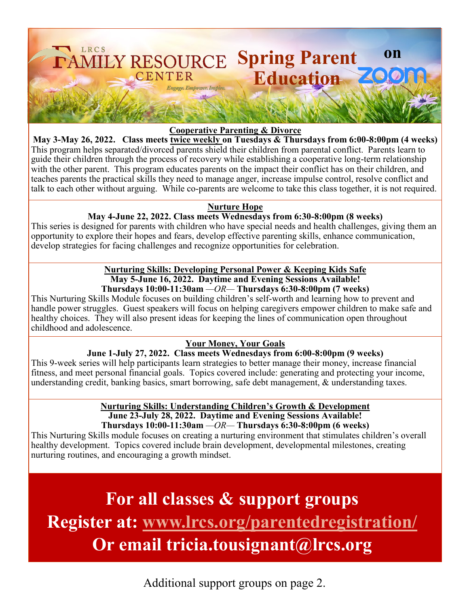

#### **Cooperative Parenting & Divorce**

**May 3-May 26, 2022. Class meets twice weekly on Tuesdays & Thursdays from 6:00-8:00pm (4 weeks)** This program helps separated/divorced parents shield their children from parental conflict. Parents learn to guide their children through the process of recovery while establishing a cooperative long-term relationship with the other parent. This program educates parents on the impact their conflict has on their children, and teaches parents the practical skills they need to manage anger, increase impulse control, resolve conflict and talk to each other without arguing. While co-parents are welcome to take this class together, it is not required.

#### **Nurture Hope**

### **May 4-June 22, 2022. Class meets Wednesdays from 6:30-8:00pm (8 weeks)**

This series is designed for parents with children who have special needs and health challenges, giving them an opportunity to explore their hopes and fears, develop effective parenting skills, enhance communication, develop strategies for facing challenges and recognize opportunities for celebration.

#### **Nurturing Skills: Developing Personal Power & Keeping Kids Safe May 5-June 16, 2022. Daytime and Evening Sessions Available! Thursdays 10:00-11:30am** *—OR—* **Thursdays 6:30-8:00pm (7 weeks)**

This Nurturing Skills Module focuses on building children's self-worth and learning how to prevent and handle power struggles. Guest speakers will focus on helping caregivers empower children to make safe and healthy choices. They will also present ideas for keeping the lines of communication open throughout childhood and adolescence.

### **Your Money, Your Goals**

**June 1-July 27, 2022. Class meets Wednesdays from 6:00-8:00pm (9 weeks)** This 9-week series will help participants learn strategies to better manage their money, increase financial fitness, and meet personal financial goals. Topics covered include: generating and protecting your income, understanding credit, banking basics, smart borrowing, safe debt management, & understanding taxes.

> **Nurturing Skills: Understanding Children's Growth & Development June 23-July 28, 2022. Daytime and Evening Sessions Available! Thursdays 10:00-11:30am** *—OR—* **Thursdays 6:30-8:00pm (6 weeks)**

This Nurturing Skills module focuses on creating a nurturing environment that stimulates children's overall healthy development. Topics covered include brain development, developmental milestones, creating nurturing routines, and encouraging a growth mindset.

**For all classes & support groups Register at: [www.lrcs.org/parentedregistration/](http://www.lrcs.org/parentedregistration) Or email tricia.tousignant@lrcs.org**

Additional support groups on page 2.